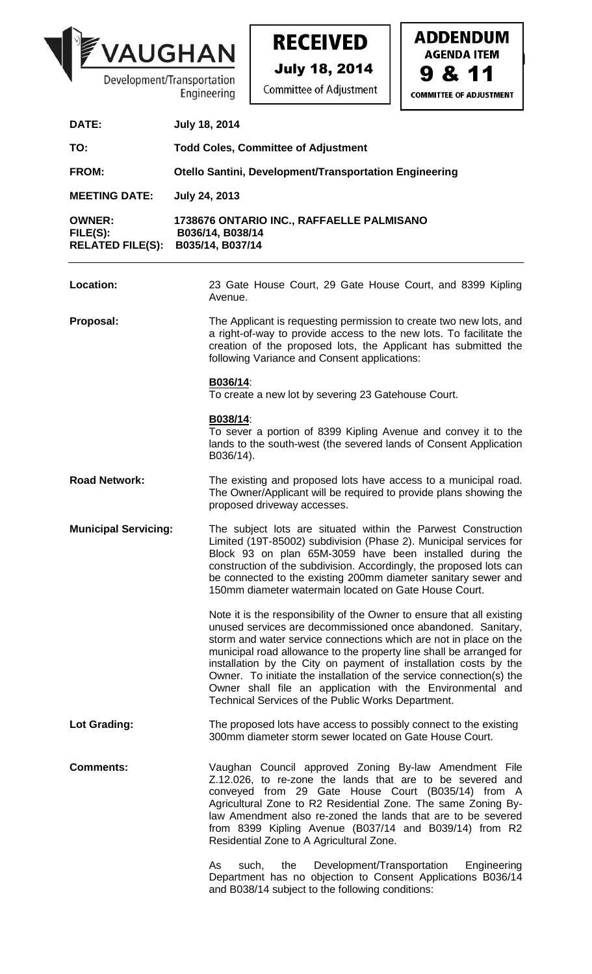

**RECEIVED** 



| DATE:                                                | <b>July 18, 2014</b>                                                                                                                                                                                                                                                                                                                                                                                                                                                                                                                               |
|------------------------------------------------------|----------------------------------------------------------------------------------------------------------------------------------------------------------------------------------------------------------------------------------------------------------------------------------------------------------------------------------------------------------------------------------------------------------------------------------------------------------------------------------------------------------------------------------------------------|
| TO:                                                  | <b>Todd Coles, Committee of Adjustment</b>                                                                                                                                                                                                                                                                                                                                                                                                                                                                                                         |
| <b>FROM:</b>                                         | Otello Santini, Development/Transportation Engineering                                                                                                                                                                                                                                                                                                                                                                                                                                                                                             |
| <b>MEETING DATE:</b>                                 | <b>July 24, 2013</b>                                                                                                                                                                                                                                                                                                                                                                                                                                                                                                                               |
| <b>OWNER:</b><br>FILE(S):<br><b>RELATED FILE(S):</b> | 1738676 ONTARIO INC., RAFFAELLE PALMISANO<br>B036/14, B038/14<br>B035/14, B037/14                                                                                                                                                                                                                                                                                                                                                                                                                                                                  |
| Location:                                            | 23 Gate House Court, 29 Gate House Court, and 8399 Kipling<br>Avenue.                                                                                                                                                                                                                                                                                                                                                                                                                                                                              |
| Proposal:                                            | The Applicant is requesting permission to create two new lots, and<br>a right-of-way to provide access to the new lots. To facilitate the<br>creation of the proposed lots, the Applicant has submitted the<br>following Variance and Consent applications:                                                                                                                                                                                                                                                                                        |
|                                                      | B036/14:<br>To create a new lot by severing 23 Gatehouse Court.                                                                                                                                                                                                                                                                                                                                                                                                                                                                                    |
|                                                      | B038/14:<br>To sever a portion of 8399 Kipling Avenue and convey it to the<br>lands to the south-west (the severed lands of Consent Application<br>B036/14).                                                                                                                                                                                                                                                                                                                                                                                       |
| <b>Road Network:</b>                                 | The existing and proposed lots have access to a municipal road.<br>The Owner/Applicant will be required to provide plans showing the<br>proposed driveway accesses.                                                                                                                                                                                                                                                                                                                                                                                |
| <b>Municipal Servicing:</b>                          | The subject lots are situated within the Parwest Construction<br>Limited (19T-85002) subdivision (Phase 2). Municipal services for<br>Block 93 on plan 65M-3059 have been installed during the<br>construction of the subdivision. Accordingly, the proposed lots can<br>be connected to the existing 200mm diameter sanitary sewer and<br>150mm diameter watermain located on Gate House Court.                                                                                                                                                   |
|                                                      | Note it is the responsibility of the Owner to ensure that all existing<br>unused services are decommissioned once abandoned. Sanitary,<br>storm and water service connections which are not in place on the<br>municipal road allowance to the property line shall be arranged for<br>installation by the City on payment of installation costs by the<br>Owner. To initiate the installation of the service connection(s) the<br>Owner shall file an application with the Environmental and<br>Technical Services of the Public Works Department. |
| Lot Grading:                                         | The proposed lots have access to possibly connect to the existing<br>300mm diameter storm sewer located on Gate House Court.                                                                                                                                                                                                                                                                                                                                                                                                                       |
| <b>Comments:</b>                                     | Vaughan Council approved Zoning By-law Amendment File<br>Z.12.026, to re-zone the lands that are to be severed and<br>conveyed from 29 Gate House Court (B035/14) from A<br>Agricultural Zone to R2 Residential Zone. The same Zoning By-<br>law Amendment also re-zoned the lands that are to be severed<br>from 8399 Kipling Avenue (B037/14 and B039/14) from R2<br>Residential Zone to A Agricultural Zone.                                                                                                                                    |
|                                                      | Development/Transportation<br>Engineering<br>As<br>such,<br>the<br>Department has no objection to Consent Applications B036/14<br>and B038/14 subject to the following conditions:                                                                                                                                                                                                                                                                                                                                                                 |